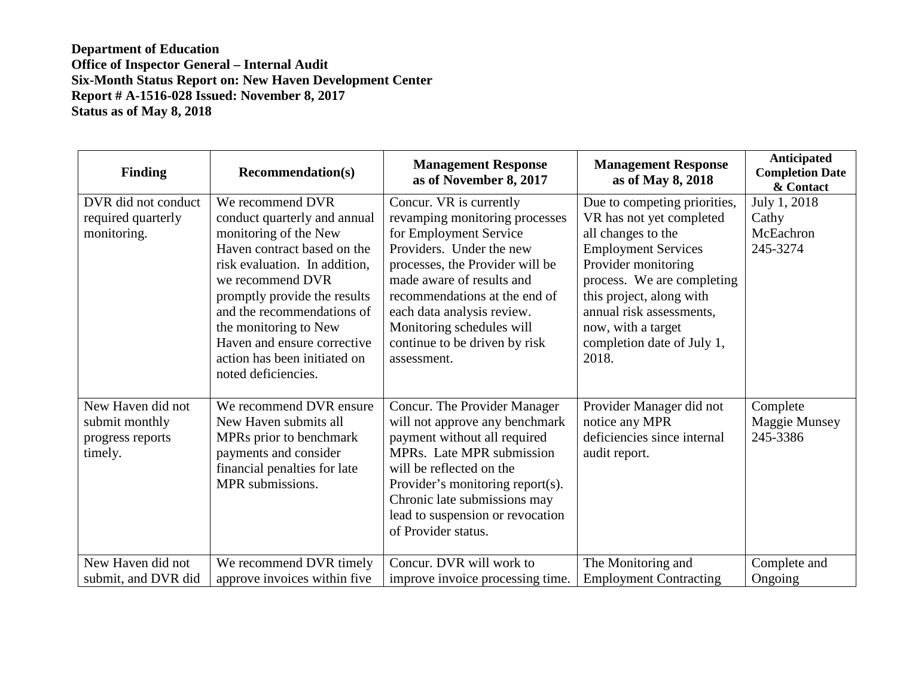## **Department of Education Office of Inspector General – Internal Audit Six-Month Status Report on: New Haven Development Center Report # A-1516-028 Issued: November 8, 2017 Status as of May 8, 2018**

| <b>Finding</b>                                                     | <b>Recommendation(s)</b>                                                                                                                                                                                                                                                                                                                   | <b>Management Response</b><br>as of November 8, 2017                                                                                                                                                                                                                                                                        | <b>Management Response</b><br>as of May 8, 2018                                                                                                                                                                                                                                        | <b>Anticipated</b><br><b>Completion Date</b><br>& Contact |
|--------------------------------------------------------------------|--------------------------------------------------------------------------------------------------------------------------------------------------------------------------------------------------------------------------------------------------------------------------------------------------------------------------------------------|-----------------------------------------------------------------------------------------------------------------------------------------------------------------------------------------------------------------------------------------------------------------------------------------------------------------------------|----------------------------------------------------------------------------------------------------------------------------------------------------------------------------------------------------------------------------------------------------------------------------------------|-----------------------------------------------------------|
| DVR did not conduct<br>required quarterly<br>monitoring.           | We recommend DVR<br>conduct quarterly and annual<br>monitoring of the New<br>Haven contract based on the<br>risk evaluation. In addition,<br>we recommend DVR<br>promptly provide the results<br>and the recommendations of<br>the monitoring to New<br>Haven and ensure corrective<br>action has been initiated on<br>noted deficiencies. | Concur. VR is currently<br>revamping monitoring processes<br>for Employment Service<br>Providers. Under the new<br>processes, the Provider will be<br>made aware of results and<br>recommendations at the end of<br>each data analysis review.<br>Monitoring schedules will<br>continue to be driven by risk<br>assessment. | Due to competing priorities,<br>VR has not yet completed<br>all changes to the<br><b>Employment Services</b><br>Provider monitoring<br>process. We are completing<br>this project, along with<br>annual risk assessments,<br>now, with a target<br>completion date of July 1,<br>2018. | July 1, 2018<br>Cathy<br>McEachron<br>245-3274            |
| New Haven did not<br>submit monthly<br>progress reports<br>timely. | We recommend DVR ensure<br>New Haven submits all<br>MPRs prior to benchmark<br>payments and consider<br>financial penalties for late<br>MPR submissions.                                                                                                                                                                                   | Concur. The Provider Manager<br>will not approve any benchmark<br>payment without all required<br>MPRs. Late MPR submission<br>will be reflected on the<br>Provider's monitoring report(s).<br>Chronic late submissions may<br>lead to suspension or revocation<br>of Provider status.                                      | Provider Manager did not<br>notice any MPR<br>deficiencies since internal<br>audit report.                                                                                                                                                                                             | Complete<br>Maggie Munsey<br>245-3386                     |
| New Haven did not<br>submit, and DVR did                           | We recommend DVR timely<br>approve invoices within five                                                                                                                                                                                                                                                                                    | Concur. DVR will work to<br>improve invoice processing time.                                                                                                                                                                                                                                                                | The Monitoring and<br><b>Employment Contracting</b>                                                                                                                                                                                                                                    | Complete and<br>Ongoing                                   |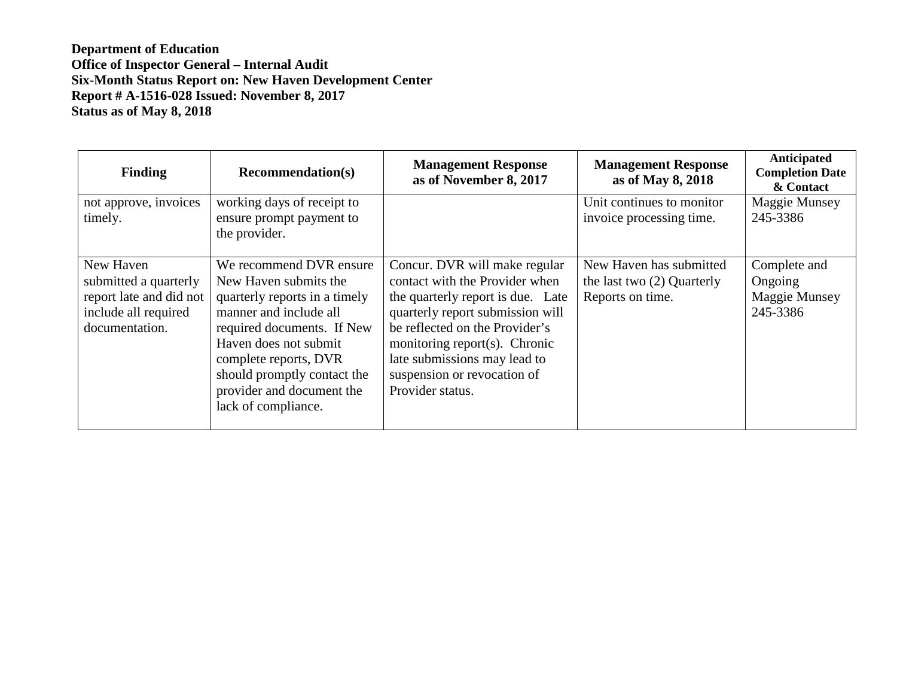**Department of Education Office of Inspector General – Internal Audit Six-Month Status Report on: New Haven Development Center Report # A-1516-028 Issued: November 8, 2017 Status as of May 8, 2018**

| <b>Finding</b>                                                                                          | <b>Recommendation(s)</b>                                                                                                                                                                                                                                                       | <b>Management Response</b><br>as of November 8, 2017                                                                                                                                                                                                                                           | <b>Management Response</b><br>as of May 8, 2018                             | Anticipated<br><b>Completion Date</b><br>& Contact   |
|---------------------------------------------------------------------------------------------------------|--------------------------------------------------------------------------------------------------------------------------------------------------------------------------------------------------------------------------------------------------------------------------------|------------------------------------------------------------------------------------------------------------------------------------------------------------------------------------------------------------------------------------------------------------------------------------------------|-----------------------------------------------------------------------------|------------------------------------------------------|
| not approve, invoices<br>timely.                                                                        | working days of receipt to<br>ensure prompt payment to<br>the provider.                                                                                                                                                                                                        |                                                                                                                                                                                                                                                                                                | Unit continues to monitor<br>invoice processing time.                       | Maggie Munsey<br>245-3386                            |
| New Haven<br>submitted a quarterly<br>report late and did not<br>include all required<br>documentation. | We recommend DVR ensure<br>New Haven submits the<br>quarterly reports in a timely<br>manner and include all<br>required documents. If New<br>Haven does not submit<br>complete reports, DVR<br>should promptly contact the<br>provider and document the<br>lack of compliance. | Concur. DVR will make regular<br>contact with the Provider when<br>the quarterly report is due. Late<br>quarterly report submission will<br>be reflected on the Provider's<br>monitoring report(s). Chronic<br>late submissions may lead to<br>suspension or revocation of<br>Provider status. | New Haven has submitted<br>the last two $(2)$ Quarterly<br>Reports on time. | Complete and<br>Ongoing<br>Maggie Munsey<br>245-3386 |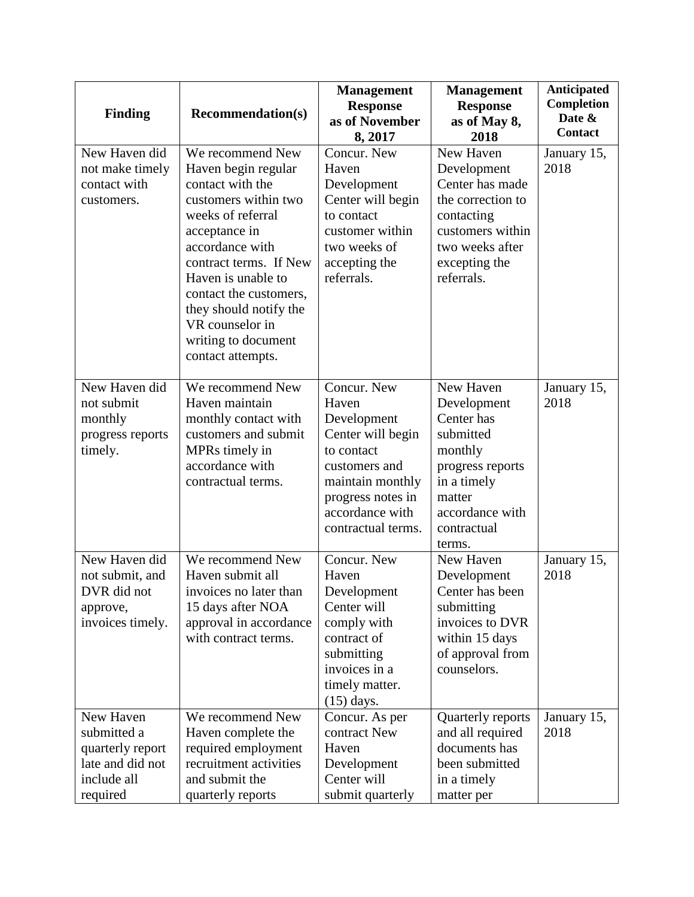| <b>Finding</b>                                                                              | <b>Recommendation(s)</b>                                                                                                                                                                                                                                                                                        | <b>Management</b><br><b>Response</b><br>as of November<br>8, 2017                                                                                                         | <b>Management</b><br><b>Response</b><br>as of May 8,<br>2018                                                                                            | <b>Anticipated</b><br>Completion<br>Date &<br><b>Contact</b> |
|---------------------------------------------------------------------------------------------|-----------------------------------------------------------------------------------------------------------------------------------------------------------------------------------------------------------------------------------------------------------------------------------------------------------------|---------------------------------------------------------------------------------------------------------------------------------------------------------------------------|---------------------------------------------------------------------------------------------------------------------------------------------------------|--------------------------------------------------------------|
| New Haven did<br>not make timely<br>contact with<br>customers.                              | We recommend New<br>Haven begin regular<br>contact with the<br>customers within two<br>weeks of referral<br>acceptance in<br>accordance with<br>contract terms. If New<br>Haven is unable to<br>contact the customers,<br>they should notify the<br>VR counselor in<br>writing to document<br>contact attempts. | Concur. New<br>Haven<br>Development<br>Center will begin<br>to contact<br>customer within<br>two weeks of<br>accepting the<br>referrals.                                  | New Haven<br>Development<br>Center has made<br>the correction to<br>contacting<br>customers within<br>two weeks after<br>excepting the<br>referrals.    | January 15,<br>2018                                          |
| New Haven did<br>not submit<br>monthly<br>progress reports<br>timely.                       | We recommend New<br>Haven maintain<br>monthly contact with<br>customers and submit<br>MPRs timely in<br>accordance with<br>contractual terms.                                                                                                                                                                   | Concur. New<br>Haven<br>Development<br>Center will begin<br>to contact<br>customers and<br>maintain monthly<br>progress notes in<br>accordance with<br>contractual terms. | New Haven<br>Development<br>Center has<br>submitted<br>monthly<br>progress reports<br>in a timely<br>matter<br>accordance with<br>contractual<br>terms. | January 15,<br>2018                                          |
| New Haven did<br>not submit, and<br>DVR did not<br>approve,<br>invoices timely.             | We recommend New<br>Haven submit all<br>invoices no later than<br>15 days after NOA<br>approval in accordance<br>with contract terms.                                                                                                                                                                           | Concur. New<br>Haven<br>Development<br>Center will<br>comply with<br>contract of<br>submitting<br>invoices in a<br>timely matter.<br>$(15)$ days.                         | New Haven<br>Development<br>Center has been<br>submitting<br>invoices to DVR<br>within 15 days<br>of approval from<br>counselors.                       | January 15,<br>2018                                          |
| New Haven<br>submitted a<br>quarterly report<br>late and did not<br>include all<br>required | We recommend New<br>Haven complete the<br>required employment<br>recruitment activities<br>and submit the<br>quarterly reports                                                                                                                                                                                  | Concur. As per<br>contract New<br>Haven<br>Development<br>Center will<br>submit quarterly                                                                                 | Quarterly reports<br>and all required<br>documents has<br>been submitted<br>in a timely<br>matter per                                                   | January 15,<br>2018                                          |